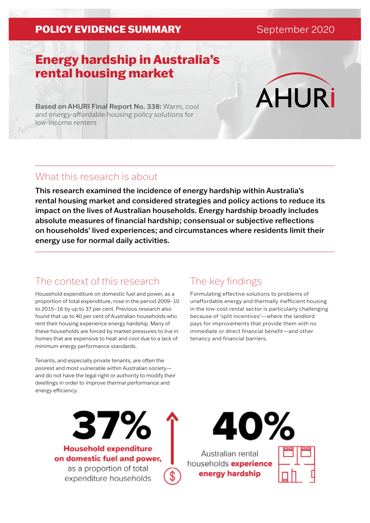### POLICY EVIDENCE SUMMARY September 2020

**AHURi** 

# Energy hardship in Australia's rental housing market

Based on AHURI Final Report No. 338: Warm, cool and energy-affordable housing policy solutions for low-income renters

### What this research is about

This research examined the incidence of energy hardship within Australia's rental housing market and considered strategies and policy actions to reduce its impact on the lives of Australian households. Energy hardship broadly includes absolute measures of financial hardship; consensual or subjective reflections on households' lived experiences; and circumstances where residents limit their energy use for normal daily activities.

# The context of this research

Household expenditure on domestic fuel and power, as a proportion of total expenditure, rose in the period 2009–10 to 2015–16 by up to 37 per cent. Previous research also found that up to 40 per cent of Australian households who rent their housing experience energy hardship. Many of these households are forced by market pressures to live in homes that are expensive to heat and cool due to a lack of minimum energy performance standards.

Tenants, and especially private tenants, are often the poorest and most vulnerable within Australian society and do not have the legal right or authority to modify their dwellings in order to improve thermal performance and energy efficiency.

# The key findings

Formulating effective solutions to problems of unaffordable energy and thermally inefficient housing in the low-cost rental sector is particularly challenging because of 'split incentives'—where the landlord pays for improvements that provide them with no immediate or direct financial benefit—and other tenancy and financial barriers.

**37% Household expenditure** on domestic fuel and power, as a proportion of total

expenditure households

Australian rental households experience energy hardship

40%

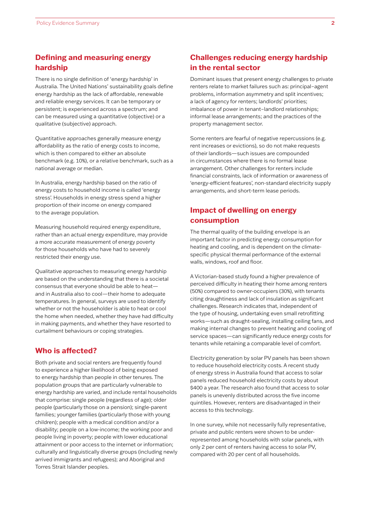### **Defining and measuring energy hardship**

There is no single definition of 'energy hardship' in Australia. The United Nations' sustainability goals define energy hardship as the lack of affordable, renewable and reliable energy services. It can be temporary or persistent; is experienced across a spectrum; and can be measured using a quantitative (objective) or a qualitative (subjective) approach.

Quantitative approaches generally measure energy affordability as the ratio of energy costs to income, which is then compared to either an absolute benchmark (e.g. 10%), or a relative benchmark, such as a national average or median.

In Australia, energy hardship based on the ratio of energy costs to household income is called 'energy stress'. Households in energy stress spend a higher proportion of their income on energy compared to the average population.

Measuring household required energy expenditure, rather than an actual energy expenditure, may provide a more accurate measurement of energy poverty for those households who have had to severely restricted their energy use.

Qualitative approaches to measuring energy hardship are based on the understanding that there is a societal consensus that everyone should be able to heat and in Australia also to cool—their home to adequate temperatures. In general, surveys are used to identify whether or not the householder is able to heat or cool the home when needed, whether they have had difficulty in making payments, and whether they have resorted to curtailment behaviours or coping strategies.

### **Who is affected?**

Both private and social renters are frequently found to experience a higher likelihood of being exposed to energy hardship than people in other tenures. The population groups that are particularly vulnerable to energy hardship are varied, and include rental households that comprise: single people (regardless of age); older people (particularly those on a pension); single-parent families; younger families (particularly those with young children); people with a medical condition and/or a disability; people on a low-income; the working poor and people living in poverty; people with lower educational attainment or poor access to the internet or information; culturally and linguistically diverse groups (including newly arrived immigrants and refugees); and Aboriginal and Torres Strait Islander peoples.

### **Challenges reducing energy hardship in the rental sector**

Dominant issues that present energy challenges to private renters relate to market failures such as: principal–agent problems, information asymmetry and split incentives; a lack of agency for renters; landlords' priorities; imbalance of power in tenant–landlord relationships; informal lease arrangements; and the practices of the property management sector.

Some renters are fearful of negative repercussions (e.g. rent increases or evictions), so do not make requests of their landlords—such issues are compounded in circumstances where there is no formal lease arrangement. Other challenges for renters include financial constraints, lack of information or awareness of 'energy-efficient features', non-standard electricity supply arrangements, and short-term lease periods.

### **Impact of dwelling on energy consumption**

The thermal quality of the building envelope is an important factor in predicting energy consumption for heating and cooling, and is dependent on the climatespecific physical thermal performance of the external walls, windows, roof and floor.

A Victorian-based study found a higher prevalence of perceived difficulty in heating their home among renters (50%) compared to owner-occupiers (30%), with tenants citing draughtiness and lack of insulation as significant challenges. Research indicates that, independent of the type of housing, undertaking even small retrofitting works—such as draught-sealing, installing ceiling fans, and making internal changes to prevent heating and cooling of service spaces—can significantly reduce energy costs for tenants while retaining a comparable level of comfort.

Electricity generation by solar PV panels has been shown to reduce household electricity costs. A recent study of energy stress in Australia found that access to solar panels reduced household electricity costs by about \$400 a year. The research also found that access to solar panels is unevenly distributed across the five income quintiles. However, renters are disadvantaged in their access to this technology.

In one survey, while not necessarily fully representative, private and public renters were shown to be underrepresented among households with solar panels, with only 2 per cent of renters having access to solar PV, compared with 20 per cent of all households.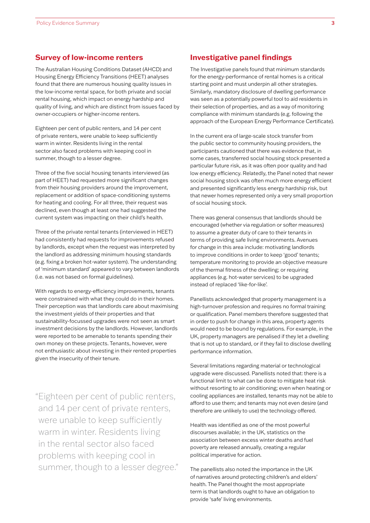#### **Survey of low-income renters**

The Australian Housing Conditions Dataset (AHCD) and Housing Energy Efficiency Transitions (HEET) analyses found that there are numerous housing quality issues in the low-income rental space, for both private and social rental housing, which impact on energy hardship and quality of living, and which are distinct from issues faced by owner-occupiers or higher-income renters.

Eighteen per cent of public renters, and 14 per cent of private renters, were unable to keep sufficiently warm in winter. Residents living in the rental sector also faced problems with keeping cool in summer, though to a lesser degree.

Three of the five social housing tenants interviewed (as part of HEET) had requested more significant changes from their housing providers around the improvement, replacement or addition of space-conditioning systems for heating and cooling. For all three, their request was declined, even though at least one had suggested the current system was impacting on their child's health.

Three of the private rental tenants (interviewed in HEET) had consistently had requests for improvements refused by landlords, except when the request was interpreted by the landlord as addressing minimum housing standards (e.g. fixing a broken hot-water system). The understanding of 'minimum standard' appeared to vary between landlords (i.e. was not based on formal guidelines).

With regards to energy-efficiency improvements, tenants were constrained with what they could do in their homes. Their perception was that landlords care about maximising the investment yields of their properties and that sustainability-focussed upgrades were not seen as smart investment decisions by the landlords. However, landlords were reported to be amenable to tenants spending their own money on these projects. Tenants, however, were not enthusiastic about investing in their rented properties given the insecurity of their tenure.

"Eighteen per cent of public renters, and 14 per cent of private renters, were unable to keep sufficiently warm in winter. Residents living in the rental sector also faced problems with keeping cool in summer, though to a lesser degree."

#### **Investigative panel findings**

The Investigative panels found that minimum standards for the energy-performance of rental homes is a critical starting point and must underpin all other strategies. Similarly, mandatory disclosure of dwelling performance was seen as a potentially powerful tool to aid residents in their selection of properties, and as a way of monitoring compliance with minimum standards (e.g. following the approach of the European Energy Performance Certificate).

In the current era of large-scale stock transfer from the public sector to community housing providers, the participants cautioned that there was evidence that, in some cases, transferred social housing stock presented a particular future risk, as it was often poor quality and had low energy efficiency. Relatedly, the Panel noted that newer social housing stock was often much more energy efficient and presented significantly less energy hardship risk, but that newer homes represented only a very small proportion of social housing stock.

There was general consensus that landlords should be encouraged (whether via regulation or softer measures) to assume a greater duty of care to their tenants in terms of providing safe living environments. Avenues for change in this area include: motivating landlords to improve conditions in order to keep 'good' tenants; temperature monitoring to provide an objective measure of the thermal fitness of the dwelling; or requiring appliances (e.g. hot-water services) to be upgraded instead of replaced 'like-for-like'.

Panellists acknowledged that property management is a high-turnover profession and requires no formal training or qualification. Panel members therefore suggested that in order to push for change in this area, property agents would need to be bound by regulations. For example, in the UK, property managers are penalised if they let a dwelling that is not up to standard, or if they fail to disclose dwelling performance information.

Several limitations regarding material or technological upgrade were discussed. Panellists noted that: there is a functional limit to what can be done to mitigate heat risk without resorting to air conditioning; even when heating or cooling appliances are installed, tenants may not be able to afford to use them; and tenants may not even desire (and therefore are unlikely to use) the technology offered.

Health was identified as one of the most powerful discourses available; in the UK, statistics on the association between excess winter deaths and fuel poverty are released annually, creating a regular political imperative for action.

The panellists also noted the importance in the UK of narratives around protecting children's and elders' health. The Panel thought the most appropriate term is that landlords ought to have an obligation to provide 'safe' living environments.